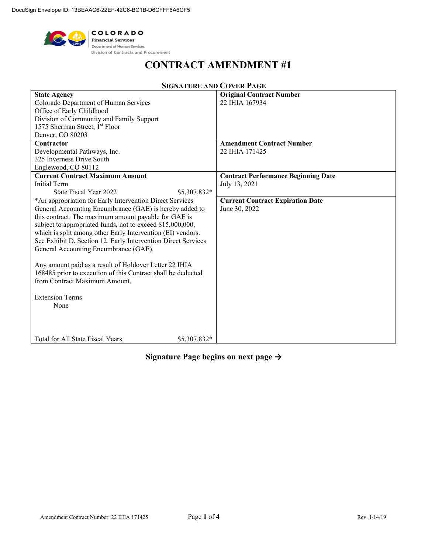

# **CONTRACT AMENDMENT #1**

| <b>State Agency</b>                                           | <b>Original Contract Number</b>            |
|---------------------------------------------------------------|--------------------------------------------|
| Colorado Department of Human Services                         | 22 IHIA 167934                             |
| Office of Early Childhood                                     |                                            |
| Division of Community and Family Support                      |                                            |
| 1575 Sherman Street, 1 <sup>st</sup> Floor                    |                                            |
| Denver, CO 80203                                              |                                            |
| Contractor                                                    | <b>Amendment Contract Number</b>           |
| Developmental Pathways, Inc.                                  | 22 IHIA 171425                             |
| 325 Inverness Drive South                                     |                                            |
| Englewood, CO 80112                                           |                                            |
| <b>Current Contract Maximum Amount</b>                        | <b>Contract Performance Beginning Date</b> |
| Initial Term                                                  | July 13, 2021                              |
| State Fiscal Year 2022<br>\$5,307,832*                        |                                            |
| *An appropriation for Early Intervention Direct Services      | <b>Current Contract Expiration Date</b>    |
| General Accounting Encumbrance (GAE) is hereby added to       | June 30, 2022                              |
| this contract. The maximum amount payable for GAE is          |                                            |
| subject to appropriated funds, not to exceed \$15,000,000,    |                                            |
| which is split among other Early Intervention (EI) vendors.   |                                            |
| See Exhibit D, Section 12. Early Intervention Direct Services |                                            |
| General Accounting Encumbrance (GAE).                         |                                            |
|                                                               |                                            |
| Any amount paid as a result of Holdover Letter 22 IHIA        |                                            |
| 168485 prior to execution of this Contract shall be deducted  |                                            |
| from Contract Maximum Amount.                                 |                                            |
|                                                               |                                            |
| <b>Extension Terms</b>                                        |                                            |
| None                                                          |                                            |
|                                                               |                                            |
|                                                               |                                            |
|                                                               |                                            |
| Total for All State Fiscal Years<br>\$5,307,832*              |                                            |

# **SIGNATURE AND COVER PAGE**

# **Signature Page begins on next page →**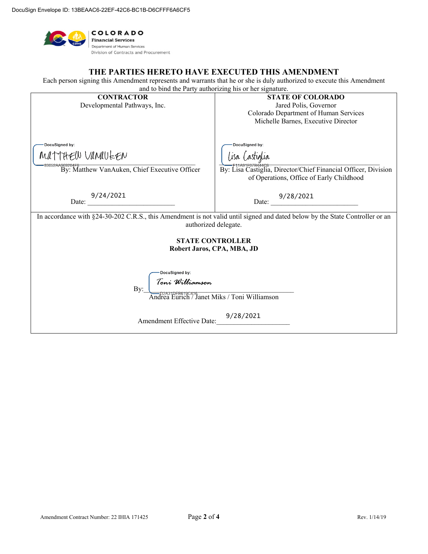

## **THE PARTIES HERETO HAVE EXECUTED THIS AMENDMENT**

Each person signing this Amendment represents and warrants that he or she is duly authorized to execute this Amendment and to bind the Party authorizing his or her signature.

| <b>CONTRACTOR</b>                                                                                                            | <b>STATE OF COLORADO</b>                                       |  |  |  |
|------------------------------------------------------------------------------------------------------------------------------|----------------------------------------------------------------|--|--|--|
| Developmental Pathways, Inc.                                                                                                 | Jared Polis, Governor                                          |  |  |  |
|                                                                                                                              | Colorado Department of Human Services                          |  |  |  |
|                                                                                                                              | Michelle Barnes, Executive Director                            |  |  |  |
|                                                                                                                              |                                                                |  |  |  |
|                                                                                                                              |                                                                |  |  |  |
| DocuSigned by:                                                                                                               | DocuSigned by:                                                 |  |  |  |
|                                                                                                                              |                                                                |  |  |  |
| MATTHEW VANAULEN                                                                                                             | lisa Castiglia                                                 |  |  |  |
| 33052A4969204F8<br>By: Matthew VanAuken, Chief Executive Officer                                                             | By: Lisa Castiglia, Director/Chief Financial Officer, Division |  |  |  |
|                                                                                                                              |                                                                |  |  |  |
|                                                                                                                              | of Operations, Office of Early Childhood                       |  |  |  |
|                                                                                                                              |                                                                |  |  |  |
| 9/24/2021                                                                                                                    | Date: $\frac{9/28/2021}{2}$                                    |  |  |  |
| Date:                                                                                                                        |                                                                |  |  |  |
| In accordance with §24-30-202 C.R.S., this Amendment is not valid until signed and dated below by the State Controller or an |                                                                |  |  |  |
| authorized delegate.                                                                                                         |                                                                |  |  |  |
|                                                                                                                              |                                                                |  |  |  |
|                                                                                                                              |                                                                |  |  |  |
| <b>STATE CONTROLLER</b>                                                                                                      |                                                                |  |  |  |
| Robert Jaros, CPA, MBA, JD                                                                                                   |                                                                |  |  |  |
|                                                                                                                              |                                                                |  |  |  |
|                                                                                                                              |                                                                |  |  |  |
| DocuSigned by:                                                                                                               |                                                                |  |  |  |
|                                                                                                                              |                                                                |  |  |  |
| By:                                                                                                                          |                                                                |  |  |  |
| <i>Toni Williamson</i><br>Toni <i>Williamson</i><br>Andrea Eurich / Jänet Miks / Toni Williamson                             |                                                                |  |  |  |
|                                                                                                                              |                                                                |  |  |  |
|                                                                                                                              | 9/28/2021                                                      |  |  |  |
| Amendment Effective Date:                                                                                                    |                                                                |  |  |  |
|                                                                                                                              |                                                                |  |  |  |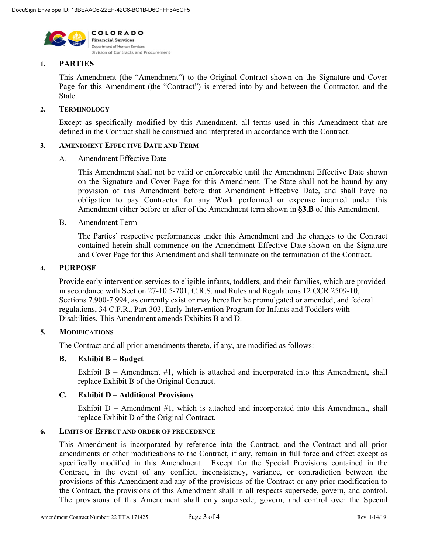

## **1. PARTIES**

This Amendment (the "Amendment") to the Original Contract shown on the Signature and Cover Page for this Amendment (the "Contract") is entered into by and between the Contractor, and the State.

### **2. TERMINOLOGY**

Except as specifically modified by this Amendment, all terms used in this Amendment that are defined in the Contract shall be construed and interpreted in accordance with the Contract.

#### **3. AMENDMENT EFFECTIVE DATE AND TERM**

#### A. Amendment Effective Date

This Amendment shall not be valid or enforceable until the Amendment Effective Date shown on the Signature and Cover Page for this Amendment. The State shall not be bound by any provision of this Amendment before that Amendment Effective Date, and shall have no obligation to pay Contractor for any Work performed or expense incurred under this Amendment either before or after of the Amendment term shown in **§3.B** of this Amendment.

#### B. Amendment Term

The Parties' respective performances under this Amendment and the changes to the Contract contained herein shall commence on the Amendment Effective Date shown on the Signature and Cover Page for this Amendment and shall terminate on the termination of the Contract.

### **4. PURPOSE**

Provide early intervention services to eligible infants, toddlers, and their families, which are provided in accordance with Section 27-10.5-701, C.R.S. and Rules and Regulations 12 CCR 2509-10, Sections 7.900-7.994, as currently exist or may hereafter be promulgated or amended, and federal regulations, 34 C.F.R., Part 303, Early Intervention Program for Infants and Toddlers with Disabilities. This Amendment amends Exhibits B and D.

### **5. MODIFICATIONS**

The Contract and all prior amendments thereto, if any, are modified as follows:

### **B. Exhibit B – Budget**

Exhibit  $B -$  Amendment #1, which is attached and incorporated into this Amendment, shall replace Exhibit B of the Original Contract.

### **C. Exhibit D – Additional Provisions**

Exhibit  $D -$  Amendment #1, which is attached and incorporated into this Amendment, shall replace Exhibit D of the Original Contract.

### **6. LIMITS OF EFFECT AND ORDER OF PRECEDENCE**

This Amendment is incorporated by reference into the Contract, and the Contract and all prior amendments or other modifications to the Contract, if any, remain in full force and effect except as specifically modified in this Amendment. Except for the Special Provisions contained in the Contract, in the event of any conflict, inconsistency, variance, or contradiction between the provisions of this Amendment and any of the provisions of the Contract or any prior modification to the Contract, the provisions of this Amendment shall in all respects supersede, govern, and control. The provisions of this Amendment shall only supersede, govern, and control over the Special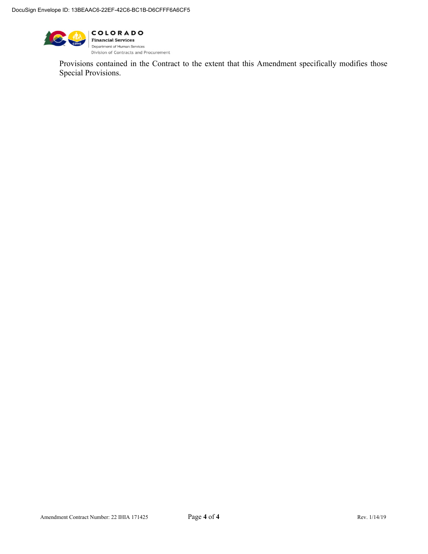

Provisions contained in the Contract to the extent that this Amendment specifically modifies those Special Provisions.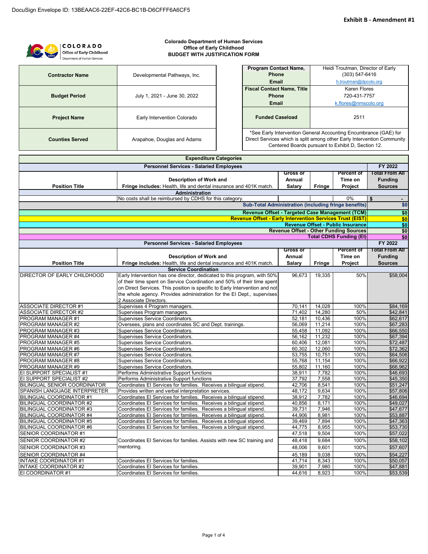

| <b>Expenditure Categories</b>                  |                                                                             |                  |                  |                                               |                       |
|------------------------------------------------|-----------------------------------------------------------------------------|------------------|------------------|-----------------------------------------------|-----------------------|
| <b>Personnel Services - Salaried Employees</b> |                                                                             |                  |                  |                                               | FY 2022               |
|                                                |                                                                             | <b>Gross or</b>  |                  | <b>Percent of</b>                             | <b>Total From All</b> |
|                                                | Description of Work and                                                     | Annual           |                  | Time on                                       | <b>Funding</b>        |
| <b>Position Title</b>                          | Fringe includes: Health, life and dental insurance and 401K match.          | Salary           | Fringe           | Project                                       | <b>Sources</b>        |
|                                                | <b>Administration</b>                                                       |                  |                  |                                               |                       |
|                                                | No costs shall be reimbursed by CDHS for this category.                     |                  |                  | 0%                                            | \$<br>$\blacksquare$  |
|                                                | <b>Sub-Total Administration (including fringe benefits)</b>                 |                  |                  |                                               | \$0                   |
|                                                | Revenue Offset - Targeted Case Management (TCM)                             |                  |                  |                                               | \$0                   |
|                                                | <b>Revenue Offset - Early Intervention Services Trust (EIST)</b>            |                  |                  |                                               | \$0                   |
|                                                |                                                                             |                  |                  | <b>Revenue Offset - Public Insurance</b>      | \$0                   |
|                                                |                                                                             |                  |                  | <b>Revenue Offset - Other Funding Sources</b> | \$0                   |
|                                                |                                                                             |                  |                  | <b>Total CDHS Funding (EI)</b>                | \$0                   |
|                                                | <b>Personnel Services - Salaried Employees</b>                              |                  |                  |                                               | FY 2022               |
|                                                |                                                                             | <b>Gross or</b>  |                  | <b>Percent of</b>                             | Total From All        |
|                                                | Description of Work and                                                     | Annual           |                  | Time on                                       | <b>Funding</b>        |
| <b>Position Title</b>                          | Fringe includes: Health, life and dental insurance and 401K match.          | Salary           | Fringe           | Project                                       | <b>Sources</b>        |
|                                                | <b>Service Coordination</b>                                                 |                  |                  |                                               |                       |
| DIRECTOR OF EARLY CHILDHOOD                    | Early Intervention has one director, dedicated to this program, with 50%    | 96,673           | 19,335           | 50%                                           | \$58,004              |
|                                                | of their time spent on Service Coordination and 50% of their time spent     |                  |                  |                                               |                       |
|                                                | on Direct Services. This position is specific to Early Intervention and not |                  |                  |                                               |                       |
|                                                | the whole agency. Provides administration for the El Dept., supervises      |                  |                  |                                               |                       |
|                                                | 2 Associate Directors.                                                      |                  |                  |                                               |                       |
| <b>ASSOCIATE DIRECTOR #1</b>                   | Supervises 4 Program managers.                                              | 70,141           | 14,028           | 100%                                          | \$84,169              |
| <b>ASSOCIATE DIRECTOR #2</b>                   | Supervises Program managers.                                                | 71.402           | 14,280           | 50%                                           | \$42,841              |
| PROGRAM MANAGER #1                             | Supervises Service Coordinators.                                            | 52,181           | 10,436           | 100%                                          | \$62,617              |
| PROGRAM MANAGER #2                             | Oversees, plans and coordinates SC and Dept. trainings.                     | 56,069           | 11,214           | 100%                                          | \$67,283              |
| PROGRAM MANAGER #3<br>PROGRAM MANAGER #4       | <b>Supervises Service Coordinators.</b><br>Supervises Service Coordinators. | 55,458<br>56,162 | 11,092<br>11,232 | 100%<br>100%                                  | \$66,550<br>\$67,394  |
| PROGRAM MANAGER #5                             | Supervises Service Coordinators.                                            | 60.406           | 12,081           | 100%                                          | \$72,487              |
| PROGRAM MANAGER #6                             | Supervises Service Coordinators.                                            | 60,302           | 12,060           | 100%                                          | \$72,362              |
| PROGRAM MANAGER #7                             | Supervises Service Coordinators.                                            | 53,755           | 10,751           | 100%                                          | \$64,506              |
| PROGRAM MANAGER #8                             | Supervises Service Coordinators.                                            | 55,768           | 11,154           | 100%                                          | \$66,922              |
| PROGRAM MANAGER #9                             | Supervises Service Coordinators.                                            | 55,802           | 11.160           | 100%                                          | \$66,962              |
| EI SUPPORT SPECIALIST #1                       | Performs Administrative Support functions                                   | 38,911           | 7,782            | 100%                                          | \$46,693              |
| EI SUPPORT SPECIALIST #2                       | Performs Administrative Support functions                                   | 37,792           | 7,558            | 100%                                          | \$45,350              |
| BILINGUAL SENIOR COORDINATOR                   | Coordinates El Services for families. Receives a bilingual stipend.         | 42,706           | 8,541            | 100%                                          | \$51,247              |
| SPANISH LANGUAGE INTERPRETER                   | Provides written and verbal interpretation services.                        | 48,172           | 9,634            | 100%                                          | \$57,806              |
| <b>BILINGUAL COORDINATOR #1</b>                | Coordinates El Services for families. Receives a bilingual stipend.         | 38,912           | 7,782            | 100%                                          | \$46,694              |
| <b>BILINGUAL COORDINATOR #2</b>                | Coordinates El Services for families. Receives a bilingual stipend.         | 40,856           | 8,171            | 100%                                          | \$49,027              |
| <b>BILINGUAL COORDINATOR #3</b>                | Coordinates El Services for families. Receives a bilingual stipend          | 39,731           | 7,946            | 100%                                          | \$47,677              |
| BILINGUAL COORDINATOR #4                       | Coordinates El Services for families. Receives a bilingual stipend.         | 44,906           | 8,981            | 100%                                          | \$53,887              |
| <b>BILINGUAL COORDINATOR #5</b>                | Coordinates El Services for families. Receives a bilingual stipend.         | 39,469           | 7,894            | 100%                                          | \$47,363              |
| <b>BILINGUAL COORDINATOR #6</b>                | Coordinates El Services for families. Receives a bilingual stipend.         | 44.775           | 8,955            | 100%                                          | \$53,730              |
| SENIOR COORDINATOR #1                          |                                                                             | 47,518           | 9,504            | 100%                                          | \$57,022              |
| SENIOR COORDINATOR #2                          | Coordinates El Services for families. Assists with new SC training and      | 48,418           | 9,684            | 100%                                          | \$58,102              |
| SENIOR COORDINATOR #3                          | mentoring.                                                                  | 48,006           | 9,601            | 100%                                          | \$57,607              |
| SENIOR COORDINATOR #4                          |                                                                             | 45,189           | 9,038            | 100%                                          | \$54,227              |
| <b>INTAKE COORDINATOR #1</b>                   | Coordinates El Services for families.                                       | 41,714           | 8,343            | 100%                                          | \$50,057              |
| <b>INTAKE COORDINATOR #2</b>                   | Coordinates El Services for families.                                       | 39,901           | 7,980            | 100%                                          | \$47,881              |
| EI COORDINATOR #1                              | Coordinates El Services for families.                                       | 44,616           | 8,923            | 100%                                          | \$53,539              |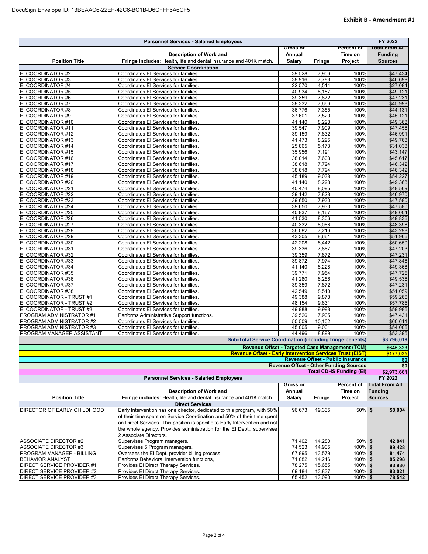| <b>Personnel Services - Salaried Employees</b> |                                                                                |                  |                |                                                                                           | FY 2022               |
|------------------------------------------------|--------------------------------------------------------------------------------|------------------|----------------|-------------------------------------------------------------------------------------------|-----------------------|
|                                                |                                                                                | <b>Gross or</b>  |                | Percent of                                                                                | <b>Total From All</b> |
|                                                | <b>Description of Work and</b>                                                 | Annual           |                | Time on                                                                                   | <b>Funding</b>        |
| <b>Position Title</b>                          | Fringe includes: Health, life and dental insurance and 401K match.             | Salary           | <b>Fringe</b>  | Project                                                                                   | <b>Sources</b>        |
|                                                | <b>Service Coordination</b>                                                    |                  |                |                                                                                           |                       |
| EI COORDINATOR #2                              | Coordinates El Services for families.                                          | 39,528           | 7,906          | 100%                                                                                      | \$47,434              |
| EI COORDINATOR #3                              | Coordinates El Services for families.                                          | 38,916           | 7,783          | 100%                                                                                      | \$46,699              |
| EI COORDINATOR #4                              | Coordinates El Services for families.                                          | 22,570           | 4,514          | 100%<br>100%                                                                              | \$27,084              |
| EI COORDINATOR #5<br>EI COORDINATOR #6         | Coordinates El Services for families.<br>Coordinates El Services for families. | 40,934<br>39,359 | 8,187<br>7,872 | 100%                                                                                      | \$49,121<br>\$47,231  |
| EI COORDINATOR #7                              | Coordinates El Services for families.                                          | 38,332           | 7,666          | 100%                                                                                      | \$45,998              |
| EI COORDINATOR #8                              | Coordinates El Services for families.                                          | 36.776           | 7,355          | 100%                                                                                      | \$44,131              |
| EI COORDINATOR #9                              | Coordinates El Services for families.                                          | 37,601           | 7,520          | 100%                                                                                      | \$45,121              |
| EI COORDINATOR #10                             | Coordinates El Services for families.                                          | 41,140           | 8,228          | 100%                                                                                      | \$49,368              |
| EI COORDINATOR #11                             | Coordinates El Services for families.                                          | 39,547           | 7,909          | 100%                                                                                      | \$47,456              |
| EI COORDINATOR #12                             | Coordinates El Services for families.                                          | 39,159           | 7,832          | 100%                                                                                      | \$46,991              |
| EI COORDINATOR #13                             | Coordinates El Services for families.                                          | 41,473           | 8,295          | 100%                                                                                      | \$49,768              |
| EI COORDINATOR #14                             | Coordinates El Services for families.                                          | 25,865           | 5,173          | 100%                                                                                      | \$31,038              |
| EI COORDINATOR #15                             | Coordinates El Services for families.                                          | 35,956           | 7,191          | 100%                                                                                      | \$43,147              |
| EI COORDINATOR #16                             | Coordinates El Services for families.                                          | 38,014           | 7,603          | 100%                                                                                      | \$45,617              |
| EI COORDINATOR #17                             | Coordinates El Services for families.                                          | 38,618           | 7,724          | 100%                                                                                      | \$46,342              |
| EI COORDINATOR #18                             | Coordinates El Services for families.                                          | 38,618           | 7,724          | 100%                                                                                      | \$46,342              |
| EI COORDINATOR #19                             | Coordinates El Services for families.                                          | 45,189           | 9,038          | 100%                                                                                      | \$54,227              |
| EI COORDINATOR #20                             | Coordinates El Services for families.                                          | 41,140           | 8,228          | 100%                                                                                      | \$49,368              |
| EI COORDINATOR #21                             | Coordinates El Services for families.                                          | 40,474           | 8,095          | 100%                                                                                      | \$48,569              |
| EI COORDINATOR #22                             | Coordinates El Services for families.                                          | 39,142           | 7,828          | 100%                                                                                      | \$46,970              |
| EI COORDINATOR #23                             | Coordinates El Services for families.                                          | 39,650           | 7,930          | 100%                                                                                      | \$47,580              |
| EI COORDINATOR #24                             | Coordinates El Services for families.                                          | 39,650<br>40,837 | 7,930<br>8,167 | 100%<br>100%                                                                              | \$47,580<br>\$49,004  |
| EI COORDINATOR #25<br>EI COORDINATOR #26       | Coordinates El Services for families.<br>Coordinates El Services for families. | 41,530           | 8,306          | 100%                                                                                      |                       |
| EI COORDINATOR #27                             | Coordinates El Services for families.                                          | 40,332           | 8,066          | 100%                                                                                      | \$49,836<br>\$48,398  |
| EI COORDINATOR #28                             | Coordinates El Services for families.                                          | 36,082           | 7,216          | 100%                                                                                      | \$43,298              |
| EI COORDINATOR #29                             | Coordinates El Services for families.                                          | 43,305           | 8,661          | 100%                                                                                      | \$51,966              |
| EI COORDINATOR #30                             | Coordinates El Services for families.                                          | 42,208           | 8,442          | 100%                                                                                      | \$50,650              |
| EI COORDINATOR #31                             | Coordinates El Services for families.                                          | 39,336           | 7,867          | 100%                                                                                      | \$47,203              |
| EI COORDINATOR #32                             | Coordinates El Services for families.                                          | 39,359           | 7,872          | 100%                                                                                      | \$47,231              |
| EI COORDINATOR #33                             | Coordinates El Services for families.                                          | 39,872           | 7,974          | 100%                                                                                      | \$47,846              |
| EI COORDINATOR #34                             | Coordinates El Services for families.                                          | 41,140           | 8,228          | 100%                                                                                      | \$49,368              |
| EI COORDINATOR #35                             | Coordinates El Services for families.                                          | 39,771           | 7,954          | 100%                                                                                      | \$47,725              |
| EI COORDINATOR #36                             | Coordinates El Services for families.                                          | 41,280           | 8,256          | 100%                                                                                      | \$49,536              |
| EI COORDINATOR #37                             | Coordinates El Services for families.                                          | 39,359           | 7,872          | 100%                                                                                      | \$47,231              |
| EI COORDINATOR #38                             | Coordinates El Services for families.                                          | 42,549           | 8,510          | 100%                                                                                      | \$51,059              |
| EI COORDINATOR - TRUST #1                      | Coordinates El Services for families.                                          | 49,388           | 9,878          | 100%                                                                                      | \$59,266              |
| EI COORDINATOR - TRUST #2                      | Coordinates El Services for families.                                          | 48,154           | 9,631          | 100%                                                                                      | \$57,785              |
| EI COORDINATOR - TRUST #3                      | Coordinates El Services for families.                                          | 49,988           | 9,998          | 100%                                                                                      | \$59,986              |
| PROGRAM ADMINISTRATOR #1                       | Performs Administrative Support functions.                                     | 39,526           | 7,905          | 100%                                                                                      | \$47,431              |
| PROGRAM ADMINISTRATOR #2                       | Coordinates El Services for families.                                          | 50,509           | 10,102         | 100%                                                                                      | \$60,611              |
| PROGRAM ADMINISTRATOR #3                       | Coordinates El Services for families.                                          | 45,005           | 9,001          | 100%                                                                                      | \$54,006              |
| PROGRAM MANAGER ASSISTANT                      | Coordinates El Services for families.                                          | 44,496           | 8,899          | 100%                                                                                      | \$53,395              |
|                                                | <b>Sub-Total Service Coordination (including fringe benefits)</b>              |                  |                |                                                                                           | \$3,796,019           |
|                                                | Revenue Offset - Targeted Case Management (TCM)                                |                  |                |                                                                                           | \$645,323             |
|                                                | <b>Revenue Offset - Early Intervention Services Trust (EIST)</b>               |                  |                |                                                                                           | \$177,035             |
|                                                |                                                                                |                  |                | <b>Revenue Offset - Public Insurance</b><br><b>Revenue Offset - Other Funding Sources</b> | \$0                   |
|                                                |                                                                                |                  |                | <b>Total CDHS Funding (EI)</b>                                                            | \$0<br>\$2,973,661    |
|                                                | <b>Personnel Services - Salaried Employees</b>                                 |                  |                |                                                                                           | FY 2022               |
|                                                |                                                                                | <b>Gross or</b>  |                | <b>Percent of</b>                                                                         | <b>Total From All</b> |
|                                                | Description of Work and                                                        | Annual           |                | Time on                                                                                   | <b>Funding</b>        |
| <b>Position Title</b>                          | Fringe includes: Health, life and dental insurance and 401K match.             | <b>Salary</b>    | Fringe         | Project                                                                                   | <b>Sources</b>        |
|                                                | <b>Direct Services</b>                                                         |                  |                |                                                                                           |                       |
| DIRECTOR OF EARLY CHILDHOOD                    | Early Intervention has one director, dedicated to this program, with 50%       | 96,673           | 19,335         | 50% \$                                                                                    | 58,004                |
|                                                | of their time spent on Service Coordination and 50% of their time spent        |                  |                |                                                                                           |                       |
|                                                | on Direct Services. This position is specific to Early Intervention and not    |                  |                |                                                                                           |                       |
|                                                | the whole agency. Provides administration for the El Dept., supervises         |                  |                |                                                                                           |                       |
|                                                | 2 Associate Directors.                                                         |                  |                |                                                                                           |                       |
| ASSOCIATE DIRECTOR #2                          | Supervises Program managers.                                                   | 71,402           | 14,280         | 50% \$                                                                                    | 42,841                |
| <b>ASSOCIATE DIRECTOR #3</b>                   | Supervises 5 Program managers.                                                 | 74,523           | 14,905         | 100% \$                                                                                   | 89,428                |
| PROGRAM MANAGER - BILLING                      | Oversees the El Dept. provider billing process.                                | 67,895           | 13,579         | 100% \$                                                                                   | 81,474                |
| <b>BEHAVIOR ANALYST</b>                        | Performs Behavioral Intervention functions,                                    | 71,082           | 14,216         | $100\%$ \$                                                                                | 85,298                |
| DIRECT SERVICE PROVIDER #1                     | Provides El Direct Therapy Services.                                           | 78,275           | 15,655         | $100\%$ \$                                                                                | 93,930                |
| DIRECT SERVICE PROVIDER #2                     | Provides El Direct Therapy Services.                                           | 69,184           | 13,837         | $100\%$ \$                                                                                | 83,021                |
| DIRECT SERVICE PROVIDER #3                     | Provides El Direct Therapy Services.                                           | 65,452           | 13,090         | $100\%$ \$                                                                                | 78,542                |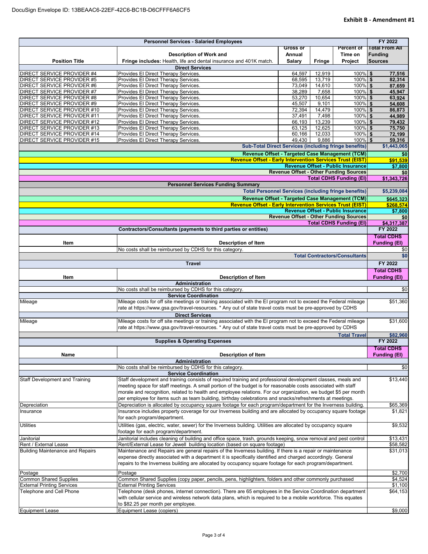| <b>Personnel Services - Salaried Employees</b> |                                                                                                                                             |                 |        | FY 2022                                       |                       |
|------------------------------------------------|---------------------------------------------------------------------------------------------------------------------------------------------|-----------------|--------|-----------------------------------------------|-----------------------|
|                                                |                                                                                                                                             | <b>Gross or</b> |        | <b>Percent of</b>                             | <b>Total From All</b> |
|                                                | Description of Work and                                                                                                                     | Annual          |        | Time on                                       | <b>Funding</b>        |
| <b>Position Title</b>                          | Fringe includes: Health, life and dental insurance and 401K match.                                                                          | Salary          | Fringe | Project                                       | <b>Sources</b>        |
|                                                | <b>Direct Services</b>                                                                                                                      |                 |        |                                               |                       |
| DIRECT SERVICE PROVIDER #4                     | Provides El Direct Therapy Services.                                                                                                        | 64,597          | 12,919 | 100% \$                                       | 77,516                |
| <b>DIRECT SERVICE PROVIDER #5</b>              | Provides El Direct Therapy Services.                                                                                                        | 68,595          | 13,719 | $100\%$ \$                                    | 82,314                |
| <b>DIRECT SERVICE PROVIDER #6</b>              | Provides El Direct Therapy Services.                                                                                                        | 73,049          | 14,610 | 100% \$                                       | 87,659                |
| DIRECT SERVICE PROVIDER #7                     | Provides El Direct Therapy Services.                                                                                                        | 38,289          | 7,658  | $100\%$ \$                                    | 45,947                |
| DIRECT SERVICE PROVIDER #8                     | Provides El Direct Therapy Services.                                                                                                        | 53,270          | 10,654 | 100% \$                                       | 63,924                |
| DIRECT SERVICE PROVIDER #9                     | Provides El Direct Therapy Services.                                                                                                        | 45,507          | 9,101  | 100% \$                                       | 54,608                |
| DIRECT SERVICE PROVIDER #10                    | Provides El Direct Therapy Services.                                                                                                        | 72,394          | 14,479 | 100% \$                                       | 86,873                |
| DIRECT SERVICE PROVIDER #11                    | Provides El Direct Therapy Services.                                                                                                        | 37,491          | 7,498  | 100% \$                                       | 44,989                |
| DIRECT SERVICE PROVIDER #12                    | Provides El Direct Therapy Services.                                                                                                        | 66,193          | 13,239 | 100% \$                                       | 79,432                |
| DIRECT SERVICE PROVIDER #13                    | Provides El Direct Therapy Services.                                                                                                        | 63,125          | 12,625 | 100% \$                                       | 75,750                |
| DIRECT SERVICE PROVIDER #14                    | Provides El Direct Therapy Services.                                                                                                        | 60,166          | 12,033 | $100\%$ \$                                    | 72,199                |
| DIRECT SERVICE PROVIDER #15                    | Provides El Direct Therapy Services.                                                                                                        | 49.430          | 9.886  | 100% \$                                       | 59,316                |
|                                                | <b>Sub-Total Direct Services (including fringe benefits)</b>                                                                                |                 |        |                                               | \$1,443,065           |
|                                                | Revenue Offset - Targeted Case Management (TCM)                                                                                             |                 |        |                                               | \$0                   |
|                                                | <b>Revenue Offset - Early Intervention Services Trust (EIST)</b>                                                                            |                 |        |                                               | \$91,539              |
|                                                |                                                                                                                                             |                 |        | <b>Revenue Offset - Public Insurance</b>      | \$7,800               |
|                                                |                                                                                                                                             |                 |        | <b>Revenue Offset - Other Funding Sources</b> | \$0                   |
|                                                |                                                                                                                                             |                 |        | <b>Total CDHS Funding (EI)</b>                | \$1,343,726           |
|                                                | <b>Personnel Services Funding Summary</b>                                                                                                   |                 |        |                                               |                       |
|                                                | <b>Total Personnel Services (including fringe benefits)</b>                                                                                 |                 |        |                                               | \$5,239,084           |
|                                                | Revenue Offset - Targeted Case Management (TCM)                                                                                             |                 |        |                                               | \$645,323             |
|                                                | <b>Revenue Offset - Early Intervention Services Trust (EIST)</b>                                                                            |                 |        |                                               | \$268,574             |
|                                                |                                                                                                                                             |                 |        | Revenue Offset - Public Insurance             | \$7,800               |
|                                                |                                                                                                                                             |                 |        | <b>Revenue Offset - Other Funding Sources</b> | \$0                   |
|                                                |                                                                                                                                             |                 |        | <b>Total CDHS Funding (EI)</b>                | \$4,317,387           |
|                                                | Contractors/Consultants (payments to third parties or entities)                                                                             |                 |        |                                               | FY 2022               |
|                                                |                                                                                                                                             |                 |        |                                               | <b>Total CDHS</b>     |
| Item                                           | <b>Description of Item</b>                                                                                                                  |                 |        |                                               | <b>Funding (EI)</b>   |
|                                                | No costs shall be reimbursed by CDHS for this category.                                                                                     |                 |        |                                               |                       |
|                                                |                                                                                                                                             |                 |        | <b>Total Contractors/Consultants</b>          | \$0<br>\$0            |
|                                                |                                                                                                                                             |                 |        |                                               |                       |
|                                                | <b>Travel</b>                                                                                                                               |                 |        |                                               | FY 2022               |
|                                                |                                                                                                                                             |                 |        |                                               | <b>Total CDHS</b>     |
| Item                                           | <b>Description of Item</b>                                                                                                                  |                 |        |                                               | <b>Funding (EI)</b>   |
|                                                | Administration                                                                                                                              |                 |        |                                               |                       |
|                                                | No costs shall be reimbursed by CDHS for this category.                                                                                     |                 |        |                                               | \$0                   |
|                                                | <b>Service Coordination</b>                                                                                                                 |                 |        |                                               |                       |
| Mileage                                        | Mileage costs for off site meetings or training associated with the EI program not to exceed the Federal mileage                            |                 |        |                                               | \$51,360              |
|                                                | rate at https://www.gsa.gov/travel-resources. * Any out of state travel costs must be pre-approved by CDHS                                  |                 |        |                                               |                       |
|                                                | <b>Direct Services</b>                                                                                                                      |                 |        |                                               |                       |
| Mileage                                        | Mileage costs for off site meetings or training associated with the EI program not to exceed the Federal mileage                            |                 |        |                                               | \$31,600              |
|                                                | rate at https://www.gsa.gov/travel-resources. * Any out of state travel costs must be pre-approved by CDHS                                  |                 |        |                                               |                       |
|                                                |                                                                                                                                             |                 |        | <b>Total Travel</b>                           | \$82,960              |
|                                                | <b>Supplies &amp; Operating Expenses</b>                                                                                                    |                 |        |                                               | FY 2022               |
|                                                |                                                                                                                                             |                 |        |                                               |                       |
|                                                |                                                                                                                                             |                 |        |                                               | <b>Total CDHS</b>     |
| Name                                           | <b>Description of Item</b>                                                                                                                  |                 |        |                                               | <b>Funding (EI)</b>   |
|                                                | Administration                                                                                                                              |                 |        |                                               |                       |
|                                                | No costs shall be reimbursed by CDHS for this category.                                                                                     |                 |        |                                               | \$0                   |
|                                                | <b>Service Coordination</b><br>Staff development and training consists of required training and professional development classes, meals and |                 |        |                                               | \$13,440              |
| <b>Staff Development and Training</b>          |                                                                                                                                             |                 |        |                                               |                       |
|                                                | meeting space for staff meetings. A small portion of the budget is for reasonable costs associated with staff                               |                 |        |                                               |                       |
|                                                | morale and recognition, related to health and employee relations. For our organization, we budget \$5 per month                             |                 |        |                                               |                       |
|                                                | per employee for items such as team building, birthday celebrations and snacks/refreshments at meetings.                                    |                 |        |                                               |                       |
| Depreciation                                   | Depreciation is allocated by occupancy square footage for each program/department for the Inverness building.                               |                 |        |                                               | \$65,369              |
| Insurance                                      | Insurance includes property coverage for our Inverness building and are allocated by occupancy square footage                               |                 |        |                                               | \$1,821               |
|                                                | for each program/department.                                                                                                                |                 |        |                                               |                       |
| <b>Utilities</b>                               | Utilities (gas, electric, water, sewer) for the Inverness building. Utilities are allocated by occupancy square                             |                 |        |                                               | \$9,532               |
|                                                | footage for each program/department.                                                                                                        |                 |        |                                               |                       |
| Janitorial                                     | Janitorial includes cleaning of building and office space, trash, grounds keeping, snow removal and pest control                            |                 |        |                                               | \$13,431              |
| Rent / External Lease                          | Rent/External Lease for Jewell building location (based on square footage)                                                                  |                 |        |                                               | \$58,582              |
| <b>Building Maintenance and Repairs</b>        | Maintenance and Repairs are general repairs of the Inverness building. If there is a repair or maintenance                                  |                 |        |                                               | \$31,013              |
|                                                | expense directly associated with a department it is specifically identified and charged accordingly. General                                |                 |        |                                               |                       |
|                                                | repairs to the Inverness building are allocated by occupancy square footage for each program/department.                                    |                 |        |                                               |                       |
|                                                |                                                                                                                                             |                 |        |                                               |                       |
| Postage                                        | Postage                                                                                                                                     |                 |        |                                               | \$2,700               |
| <b>Common Shared Supplies</b>                  | Common Shared Supplies (copy paper, pencils, pens, highlighters, folders and other commonly purchased                                       |                 |        |                                               | \$4,524               |
| <b>External Printing Services</b>              | <b>External Printing Services</b>                                                                                                           |                 |        |                                               | \$1,100               |
| Telephone and Cell Phone                       | Telephone (desk phones, internet connection). There are 65 employees in the Service Coordination department                                 |                 |        |                                               | \$64,153              |
|                                                | with cellular service and wireless network data plans, which is required to be a mobile workforce. This equates                             |                 |        |                                               |                       |
|                                                | to \$82.25 per month per employee.                                                                                                          |                 |        |                                               |                       |
|                                                | Equipment Lease (copiers)                                                                                                                   |                 |        |                                               | \$9,000               |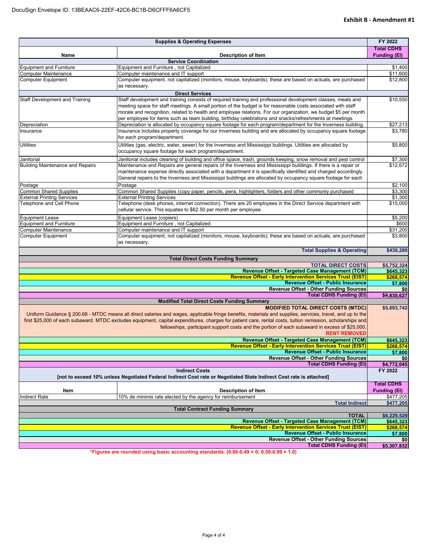|                                         | <b>Supplies &amp; Operating Expenses</b>                                                                                                                    | FY 2022                |
|-----------------------------------------|-------------------------------------------------------------------------------------------------------------------------------------------------------------|------------------------|
|                                         |                                                                                                                                                             | <b>Total CDHS</b>      |
| Name                                    | <b>Description of Item</b>                                                                                                                                  | <b>Funding (EI)</b>    |
| <b>Equipment and Furniture</b>          | <b>Service Coordination</b><br>Equipment and Furniture, not Capitalized                                                                                     | \$1,400                |
| <b>Computer Maintenance</b>             | Computer maintenance and IT support                                                                                                                         | \$11,600               |
| <b>Computer Equipment</b>               | Computer equipment, not capitalized (monitors, mouse, keyboards); these are based on actuals, are purchased                                                 | \$12,800               |
|                                         | as necessary.                                                                                                                                               |                        |
|                                         | <b>Direct Services</b>                                                                                                                                      |                        |
| Staff Development and Training          | Staff development and training consists of required training and professional development classes, meals and                                                | \$10,550               |
|                                         | meeting space for staff meetings. A small portion of the budget is for reasonable costs associated with staff                                               |                        |
|                                         | morale and recognition, related to health and employee relations. For our organization, we budget \$5 per month                                             |                        |
|                                         | per employee for items such as team building, birthday celebrations and snacks/refreshments at meetings.                                                    |                        |
| Depreciation                            | Depreciation is allocated by occupancy square footage for each program/department for the Inverness building.                                               | \$27,213               |
| Insurance                               | Insurance includes property coverage for our Inverness building and are allocated by occupancy square footage<br>for each program/department.               | \$3,780                |
|                                         |                                                                                                                                                             |                        |
| <b>Utilities</b>                        | Utilities (gas, electric, water, sewer) for the Inverness and Mississippi buildings. Utilities are allocated by                                             | \$5,800                |
|                                         | occupancy square footage for each program/department.                                                                                                       |                        |
| Janitorial                              | Janitorial includes cleaning of building and office space, trash, grounds keeping, snow removal and pest control                                            | \$7,300                |
| <b>Building Maintenance and Repairs</b> | Maintenance and Repairs are general repairs of the Inverness and Mississippi buildings. If there is a repair or                                             | \$12,672               |
|                                         | maintenance expense directly associated with a department it is specifically identified and charged accordingly.                                            |                        |
|                                         | General repairs to the Inverness and Mississippi buildings are allocated by occupancy square footage for each                                               |                        |
| Postage                                 | Postage                                                                                                                                                     | \$2,100                |
| <b>Common Shared Supplies</b>           | Common Shared Supplies (copy paper, pencils, pens, highlighters, folders and other commonly purchased                                                       | \$3,300                |
| <b>External Printing Services</b>       | <b>External Printing Services</b>                                                                                                                           | \$1,300                |
| Telephone and Cell Phone                | Telephone (desk phones, internet connection). There are 20 employees in the Direct Service department with                                                  | \$15,000               |
|                                         | cellular service. This equates to \$62.50 per month per employee.                                                                                           |                        |
| <b>Equipment Lease</b>                  | Equipment Lease (copiers)                                                                                                                                   | \$5,200                |
| <b>Equipment and Furniture</b>          | Equipment and Furniture, not Capitalized                                                                                                                    | \$600                  |
| <b>Computer Maintenance</b>             | Computer maintenance and IT support                                                                                                                         | \$31,200               |
| <b>Computer Equipment</b>               | Computer equipment, not capitalized (monitors, mouse, keyboards); these are based on actuals, are purchased                                                 | \$3,800                |
|                                         | as necessary.                                                                                                                                               |                        |
|                                         | <b>Total Supplies &amp; Operating</b>                                                                                                                       | \$430,280              |
|                                         | <b>Total Direct Costs Funding Summary</b>                                                                                                                   |                        |
|                                         | <b>TOTAL DIRECT COSTS</b>                                                                                                                                   | \$5,752,324            |
|                                         | Revenue Offset - Targeted Case Management (TCM)                                                                                                             | \$645,323              |
|                                         | <b>Revenue Offset - Early Intervention Services Trust (EIST)</b>                                                                                            | \$268,574              |
|                                         | <b>Revenue Offset - Public Insurance</b>                                                                                                                    | \$7,800                |
|                                         | <b>Revenue Offset - Other Funding Sources</b>                                                                                                               | \$0                    |
|                                         | <b>Total CDHS Funding (EI)</b>                                                                                                                              | \$4,830,627            |
|                                         | <b>Modified Total Direct Costs Funding Summary</b><br><b>MODIFIED TOTAL DIRECT COSTS (MTDC)</b>                                                             | \$5,693,742            |
|                                         | Uniform Guidance § 200.68 - MTDC means all direct salaries and wages, applicable fringe benefits, materials and supplies, services, travel, and up to the   |                        |
|                                         | first \$25,000 of each subaward. MTDC excludes equipment, capital expenditures, charges for patient care, rental costs, tuition remission, scholarships and |                        |
|                                         | fellowships, participant support costs and the portion of each subaward in excess of \$25,000.                                                              |                        |
|                                         | <b>RENT REMOVED</b>                                                                                                                                         |                        |
|                                         |                                                                                                                                                             |                        |
|                                         | Revenue Offset - Targeted Case Management (TCM)<br><b>Revenue Offset - Early Intervention Services Trust (EIST)</b>                                         | \$645,323              |
|                                         | <b>Revenue Offset - Public Insurance</b>                                                                                                                    | \$268.574              |
|                                         | <b>Revenue Offset - Other Funding Sources</b>                                                                                                               | \$7,800<br>\$0         |
|                                         | <b>Total CDHS Funding (EI)</b>                                                                                                                              |                        |
|                                         | <b>Indirect Costs</b>                                                                                                                                       | \$4,772,045<br>FY 2022 |
|                                         | [not to exceed 10% unless Negotiated Federal Indirect Cost rate or Negotiated State Indirect Cost rate is attached]                                         |                        |
|                                         |                                                                                                                                                             | <b>Total CDHS</b>      |
| Item                                    | <b>Description of Item</b>                                                                                                                                  | <b>Funding (EI)</b>    |
| <b>Indirect Rate</b>                    | 10% de minimis rate elected by the agency for reimbursement                                                                                                 | \$477,205              |
|                                         | <b>Total Indirect</b>                                                                                                                                       | \$477,205              |
|                                         | <b>Total Contract Funding Summary</b>                                                                                                                       |                        |
|                                         | <b>TOTAL</b>                                                                                                                                                | \$6,229,529            |
|                                         | Revenue Offset - Targeted Case Management (TCM)                                                                                                             | \$645,323              |
|                                         | <b>Revenue Offset - Early Intervention Services Trust (EIST)</b>                                                                                            | \$268,574              |
|                                         | <b>Revenue Offset - Public Insurance</b>                                                                                                                    | \$7,800                |
|                                         | <b>Revenue Offset - Other Funding Sources</b>                                                                                                               | \$0                    |
|                                         | <b>Total CDHS Funding (EI)</b>                                                                                                                              | \$5,307,832            |

**\*Figures are rounded using basic accounting standards. (0.00-0.49 = 0; 0.50-0.99 = 1.0)**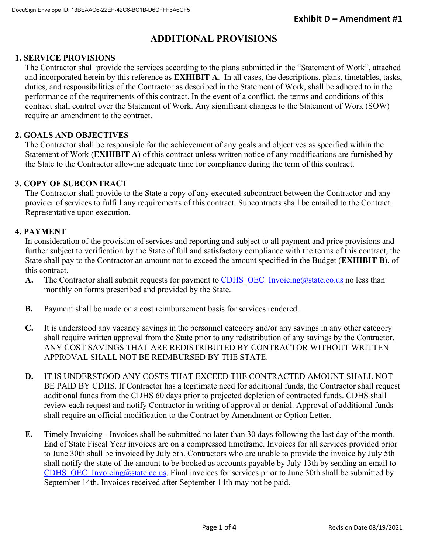# **ADDITIONAL PROVISIONS**

# **1. SERVICE PROVISIONS**

The Contractor shall provide the services according to the plans submitted in the "Statement of Work", attached and incorporated herein by this reference as **EXHIBIT A**. In all cases, the descriptions, plans, timetables, tasks, duties, and responsibilities of the Contractor as described in the Statement of Work, shall be adhered to in the performance of the requirements of this contract. In the event of a conflict, the terms and conditions of this contract shall control over the Statement of Work. Any significant changes to the Statement of Work (SOW) require an amendment to the contract.

## **2. GOALS AND OBJECTIVES**

The Contractor shall be responsible for the achievement of any goals and objectives as specified within the Statement of Work (**EXHIBIT A**) of this contract unless written notice of any modifications are furnished by the State to the Contractor allowing adequate time for compliance during the term of this contract.

## **3. COPY OF SUBCONTRACT**

The Contractor shall provide to the State a copy of any executed subcontract between the Contractor and any provider of services to fulfill any requirements of this contract. Subcontracts shall be emailed to the Contract Representative upon execution.

## **4. PAYMENT**

In consideration of the provision of services and reporting and subject to all payment and price provisions and further subject to verification by the State of full and satisfactory compliance with the terms of this contract, the State shall pay to the Contractor an amount not to exceed the amount specified in the Budget (**EXHIBIT B**), of this contract.

- **A.** The Contractor shall submit requests for payment to CDHS OEC Invoicing@state.co.us no less than monthly on forms prescribed and provided by the State.
- **B.** Payment shall be made on a cost reimbursement basis for services rendered.
- **C.** It is understood any vacancy savings in the personnel category and/or any savings in any other category shall require written approval from the State prior to any redistribution of any savings by the Contractor. ANY COST SAVINGS THAT ARE REDISTRIBUTED BY CONTRACTOR WITHOUT WRITTEN APPROVAL SHALL NOT BE REIMBURSED BY THE STATE.
- **D.** IT IS UNDERSTOOD ANY COSTS THAT EXCEED THE CONTRACTED AMOUNT SHALL NOT BE PAID BY CDHS. If Contractor has a legitimate need for additional funds, the Contractor shall request additional funds from the CDHS 60 days prior to projected depletion of contracted funds. CDHS shall review each request and notify Contractor in writing of approval or denial. Approval of additional funds shall require an official modification to the Contract by Amendment or Option Letter.
- **E.** Timely Invoicing Invoices shall be submitted no later than 30 days following the last day of the month. End of State Fiscal Year invoices are on a compressed timeframe. Invoices for all services provided prior to June 30th shall be invoiced by July 5th. Contractors who are unable to provide the invoice by July 5th shall notify the state of the amount to be booked as accounts payable by July 13th by sending an email to CDHS\_OEC\_Invoicing@state.co.us. Final invoices for services prior to June 30th shall be submitted by September 14th. Invoices received after September 14th may not be paid.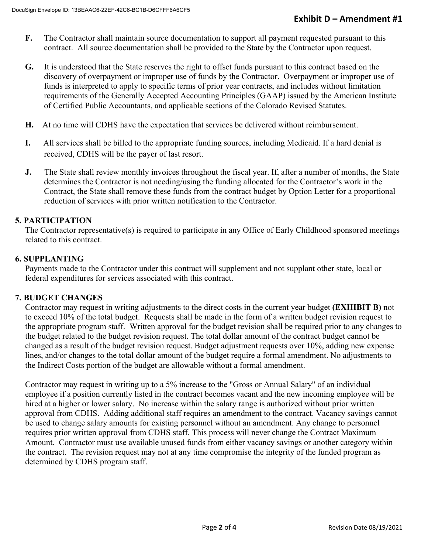- **F.** The Contractor shall maintain source documentation to support all payment requested pursuant to this contract. All source documentation shall be provided to the State by the Contractor upon request.
- **G.** It is understood that the State reserves the right to offset funds pursuant to this contract based on the discovery of overpayment or improper use of funds by the Contractor. Overpayment or improper use of funds is interpreted to apply to specific terms of prior year contracts, and includes without limitation requirements of the Generally Accepted Accounting Principles (GAAP) issued by the American Institute of Certified Public Accountants, and applicable sections of the Colorado Revised Statutes.
- **H.** At no time will CDHS have the expectation that services be delivered without reimbursement.
- **I.** All services shall be billed to the appropriate funding sources, including Medicaid. If a hard denial is received, CDHS will be the payer of last resort.
- **J.** The State shall review monthly invoices throughout the fiscal year. If, after a number of months, the State determines the Contractor is not needing/using the funding allocated for the Contractor's work in the Contract, the State shall remove these funds from the contract budget by Option Letter for a proportional reduction of services with prior written notification to the Contractor.

## **5. PARTICIPATION**

The Contractor representative(s) is required to participate in any Office of Early Childhood sponsored meetings related to this contract.

## **6. SUPPLANTING**

Payments made to the Contractor under this contract will supplement and not supplant other state, local or federal expenditures for services associated with this contract.

## **7. BUDGET CHANGES**

Contractor may request in writing adjustments to the direct costs in the current year budget **(EXHIBIT B)** not to exceed 10% of the total budget. Requests shall be made in the form of a written budget revision request to the appropriate program staff. Written approval for the budget revision shall be required prior to any changes to the budget related to the budget revision request. The total dollar amount of the contract budget cannot be changed as a result of the budget revision request. Budget adjustment requests over 10%, adding new expense lines, and/or changes to the total dollar amount of the budget require a formal amendment. No adjustments to the Indirect Costs portion of the budget are allowable without a formal amendment.

Contractor may request in writing up to a 5% increase to the "Gross or Annual Salary" of an individual employee if a position currently listed in the contract becomes vacant and the new incoming employee will be hired at a higher or lower salary. No increase within the salary range is authorized without prior written approval from CDHS. Adding additional staff requires an amendment to the contract. Vacancy savings cannot be used to change salary amounts for existing personnel without an amendment. Any change to personnel requires prior written approval from CDHS staff. This process will never change the Contract Maximum Amount. Contractor must use available unused funds from either vacancy savings or another category within the contract. The revision request may not at any time compromise the integrity of the funded program as determined by CDHS program staff.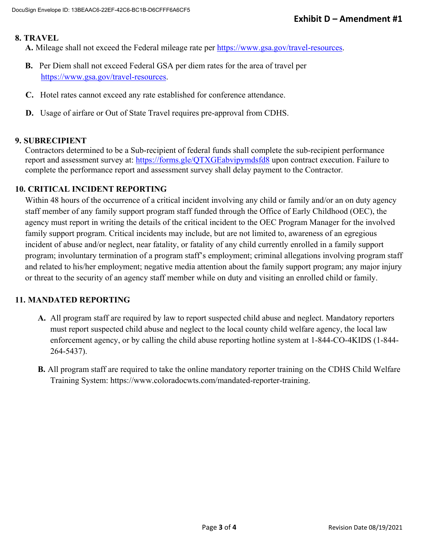## **8. TRAVEL**

**A.** Mileage shall not exceed the Federal mileage rate per https://www.gsa.gov/travel-resources.

- **B.** Per Diem shall not exceed Federal GSA per diem rates for the area of travel per https://www.gsa.gov/travel-resources.
- **C.** Hotel rates cannot exceed any rate established for conference attendance.
- **D.** Usage of airfare or Out of State Travel requires pre-approval from CDHS.

## **9. SUBRECIPIENT**

Contractors determined to be a Sub-recipient of federal funds shall complete the sub-recipient performance report and assessment survey at: https://forms.gle/QTXGEabvipymdsfd8 upon contract execution. Failure to complete the performance report and assessment survey shall delay payment to the Contractor.

## **10. CRITICAL INCIDENT REPORTING**

Within 48 hours of the occurrence of a critical incident involving any child or family and/or an on duty agency staff member of any family support program staff funded through the Office of Early Childhood (OEC), the agency must report in writing the details of the critical incident to the OEC Program Manager for the involved family support program. Critical incidents may include, but are not limited to, awareness of an egregious incident of abuse and/or neglect, near fatality, or fatality of any child currently enrolled in a family support program; involuntary termination of a program staff's employment; criminal allegations involving program staff and related to his/her employment; negative media attention about the family support program; any major injury or threat to the security of an agency staff member while on duty and visiting an enrolled child or family.

# **11. MANDATED REPORTING**

- **A.** All program staff are required by law to report suspected child abuse and neglect. Mandatory reporters must report suspected child abuse and neglect to the local county child welfare agency, the local law enforcement agency, or by calling the child abuse reporting hotline system at 1-844-CO-4KIDS (1-844- 264-5437).
- **B.** All program staff are required to take the online mandatory reporter training on the CDHS Child Welfare Training System: https://www.coloradocwts.com/mandated-reporter-training.